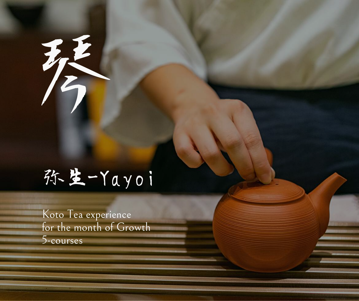

# 弥生-Yayoi

Koto Tea experience for the month of Growth 5-courses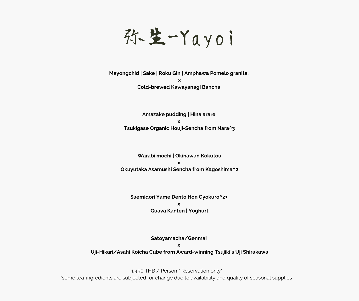弥生-Yayoi

**Mayongchid | Sake | Roku Gin | Amphawa Pomelo granita. x Cold-brewed Kawayanagi Bancha**

> **Amazake pudding | Hina arare x Tsukigase Organic Houji-Sencha from Nara^3**

**Warabi mochi | Okinawan Kokutou x Okuyutaka Asamushi Sencha from Kagoshima^2**

**Saemidori Yame Dento Hon Gyokuro^2+ x Guava Kanten | Yoghurt**

**Satoyamacha/Genmai x Uji-Hikari/Asahi Koicha Cube from Award-winning Tsujiki's Uji Shirakawa**

1,490 THB / Person \* Reservation only\* \*some tea-ingredients are subjected for change due to availability and quality of seasonal supplies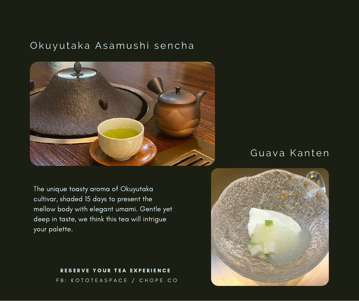### Okuyutaka Asamushi sencha



The unique toasty aroma of Okuyutaka cultivar, shaded 15 days to present the mellow body with elegant umami. Gentle yet deep in taste, we think this tea will intrigue your palette.

#### FB: KOTOTEASPACE / CHOPE.CO RESERVE YOUR TEA EXPERIENCE

## Guava Kanten